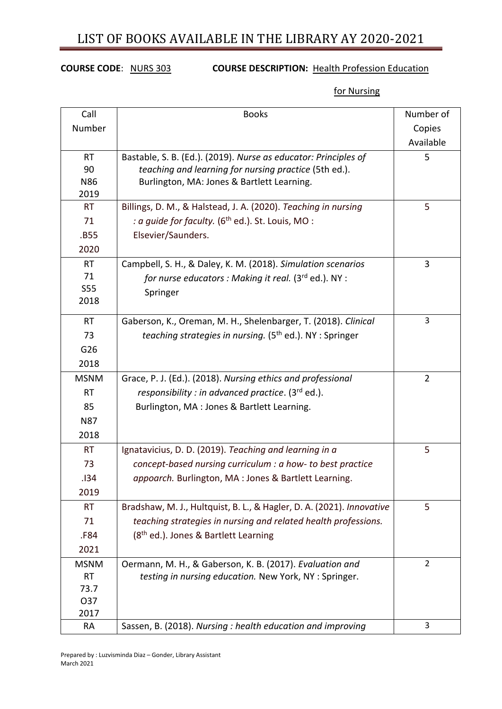## LIST OF BOOKS AVAILABLE IN THE LIBRARY AY 2020-2021

## **COURSE CODE**: NURS 303 **COURSE DESCRIPTION:** Health Profession Education

for Nursing

| Call        | <b>Books</b>                                                          | Number of      |
|-------------|-----------------------------------------------------------------------|----------------|
| Number      |                                                                       | Copies         |
|             |                                                                       | Available      |
| <b>RT</b>   | Bastable, S. B. (Ed.). (2019). Nurse as educator: Principles of       | 5              |
| 90          | teaching and learning for nursing practice (5th ed.).                 |                |
| N86         | Burlington, MA: Jones & Bartlett Learning.                            |                |
| 2019        |                                                                       |                |
| <b>RT</b>   | Billings, D. M., & Halstead, J. A. (2020). Teaching in nursing        | 5              |
| 71          | : a quide for faculty. (6 <sup>th</sup> ed.). St. Louis, MO:          |                |
| .B55        | Elsevier/Saunders.                                                    |                |
| 2020        |                                                                       |                |
| <b>RT</b>   | Campbell, S. H., & Daley, K. M. (2018). Simulation scenarios          | 3              |
| 71          | for nurse educators : Making it real. ( $3^{rd}$ ed.). NY :           |                |
| S55         | Springer                                                              |                |
| 2018        |                                                                       |                |
| <b>RT</b>   | Gaberson, K., Oreman, M. H., Shelenbarger, T. (2018). Clinical        | 3              |
| 73          | teaching strategies in nursing. (5 <sup>th</sup> ed.). NY: Springer   |                |
| G26         |                                                                       |                |
| 2018        |                                                                       |                |
| <b>MSNM</b> | Grace, P. J. (Ed.). (2018). Nursing ethics and professional           | $\overline{2}$ |
| <b>RT</b>   | responsibility : in advanced practice. $(3rd$ ed.).                   |                |
| 85          | Burlington, MA : Jones & Bartlett Learning.                           |                |
| <b>N87</b>  |                                                                       |                |
| 2018        |                                                                       |                |
| <b>RT</b>   | Ignatavicius, D. D. (2019). Teaching and learning in a                | 5              |
| 73          | concept-based nursing curriculum : a how- to best practice            |                |
| .134        | appoarch. Burlington, MA : Jones & Bartlett Learning.                 |                |
| 2019        |                                                                       |                |
| <b>RT</b>   | Bradshaw, M. J., Hultquist, B. L., & Hagler, D. A. (2021). Innovative | 5              |
| 71          | teaching strategies in nursing and related health professions.        |                |
| .F84        | (8 <sup>th</sup> ed.). Jones & Bartlett Learning                      |                |
| 2021        |                                                                       |                |
| <b>MSNM</b> | Oermann, M. H., & Gaberson, K. B. (2017). Evaluation and              | $\overline{2}$ |
| <b>RT</b>   | testing in nursing education. New York, NY : Springer.                |                |
| 73.7        |                                                                       |                |
| O37         |                                                                       |                |
| 2017        |                                                                       |                |
| <b>RA</b>   | Sassen, B. (2018). Nursing : health education and improving           | 3              |